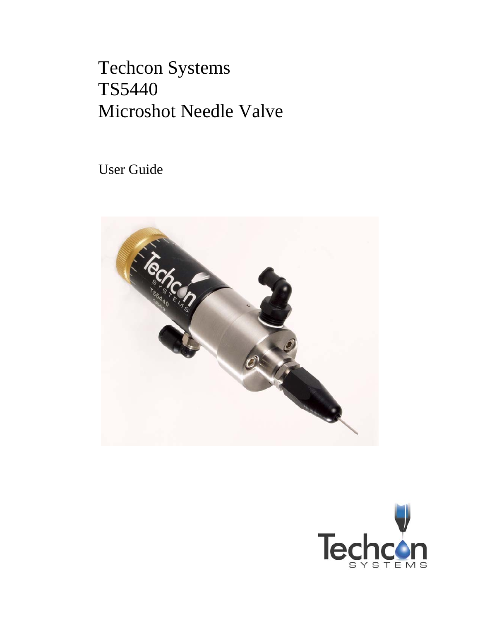# Techcon Systems TS5440 Microshot Needle Valve

User Guide



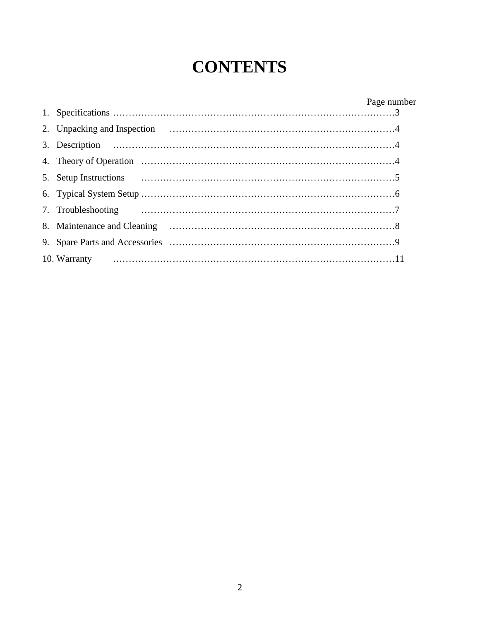## **CONTENTS**

|    |              | Page number |
|----|--------------|-------------|
|    |              |             |
|    |              |             |
|    |              |             |
|    |              |             |
| 5. |              |             |
|    |              |             |
|    |              |             |
|    |              |             |
|    |              |             |
|    | 10. Warranty |             |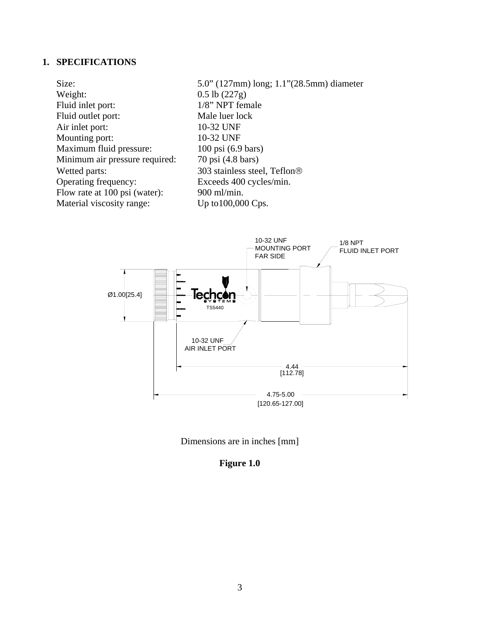## **1. SPECIFICATIONS**

| 5.0" (127mm) long; 1.1"(28.5mm) diameter |
|------------------------------------------|
| $0.5$ lb $(227g)$                        |
| 1/8" NPT female                          |
| Male luer lock                           |
| 10-32 UNF                                |
| 10-32 UNF                                |
| $100 \text{ psi}$ (6.9 bars)             |
| 70 psi (4.8 bars)                        |
| 303 stainless steel, Teflon <sup>®</sup> |
| Exceeds 400 cycles/min.                  |
| 900 ml/min.                              |
| Up to $100,000$ Cps.                     |
|                                          |





## **Figure 1.0**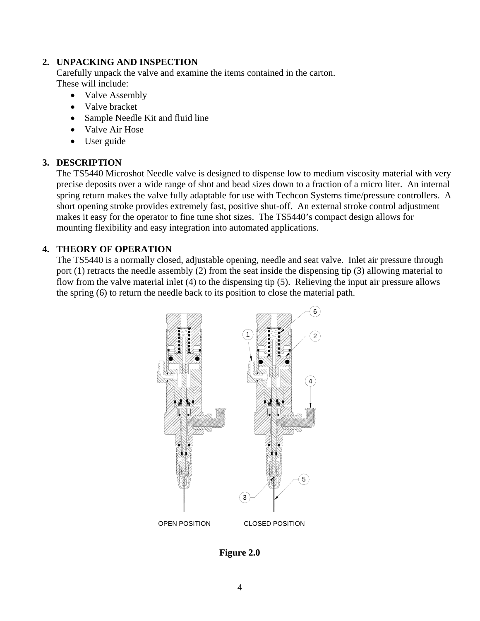#### **2. UNPACKING AND INSPECTION**

Carefully unpack the valve and examine the items contained in the carton. These will include:

- Valve Assembly
- Valve bracket
- Sample Needle Kit and fluid line
- Valve Air Hose
- User guide

#### **3. DESCRIPTION**

The TS5440 Microshot Needle valve is designed to dispense low to medium viscosity material with very precise deposits over a wide range of shot and bead sizes down to a fraction of a micro liter. An internal spring return makes the valve fully adaptable for use with Techcon Systems time/pressure controllers. A short opening stroke provides extremely fast, positive shut-off. An external stroke control adjustment makes it easy for the operator to fine tune shot sizes. The TS5440's compact design allows for mounting flexibility and easy integration into automated applications.

#### **4. THEORY OF OPERATION**

The TS5440 is a normally closed, adjustable opening, needle and seat valve. Inlet air pressure through port (1) retracts the needle assembly (2) from the seat inside the dispensing tip (3) allowing material to flow from the valve material inlet (4) to the dispensing tip (5). Relieving the input air pressure allows the spring (6) to return the needle back to its position to close the material path.



**Figure 2.0**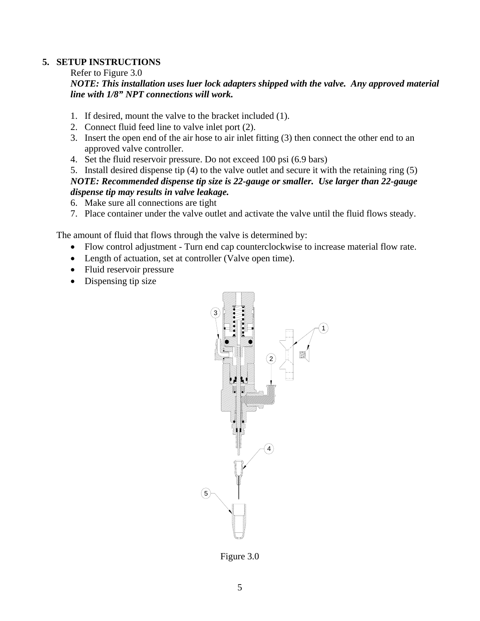#### **5. SETUP INSTRUCTIONS**

#### Refer to Figure 3.0

#### *NOTE: This installation uses luer lock adapters shipped with the valve. Any approved material line with 1/8" NPT connections will work.*

- 1. If desired, mount the valve to the bracket included (1).
- 2. Connect fluid feed line to valve inlet port (2).
- 3. Insert the open end of the air hose to air inlet fitting (3) then connect the other end to an approved valve controller.
- 4. Set the fluid reservoir pressure. Do not exceed 100 psi (6.9 bars)
- 5. Install desired dispense tip (4) to the valve outlet and secure it with the retaining ring (5)

#### *NOTE: Recommended dispense tip size is 22-gauge or smaller. Use larger than 22-gauge dispense tip may results in valve leakage.*

- 6. Make sure all connections are tight
- 7. Place container under the valve outlet and activate the valve until the fluid flows steady.

The amount of fluid that flows through the valve is determined by:

- Flow control adjustment Turn end cap counterclockwise to increase material flow rate.
- Length of actuation, set at controller (Valve open time).
- Fluid reservoir pressure
- Dispensing tip size



Figure 3.0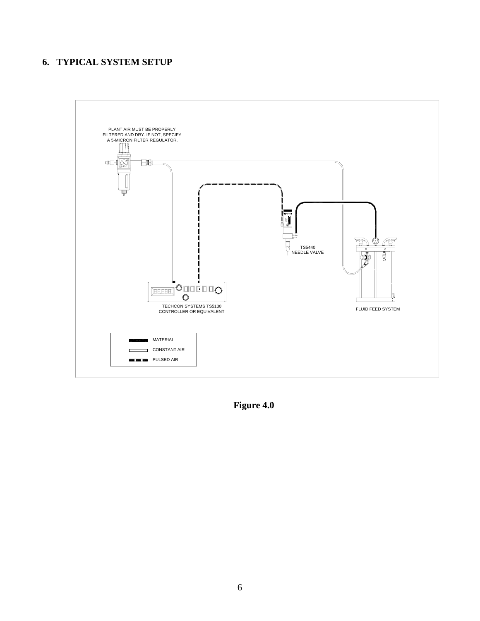## **6. TYPICAL SYSTEM SETUP**



**Figure 4.0**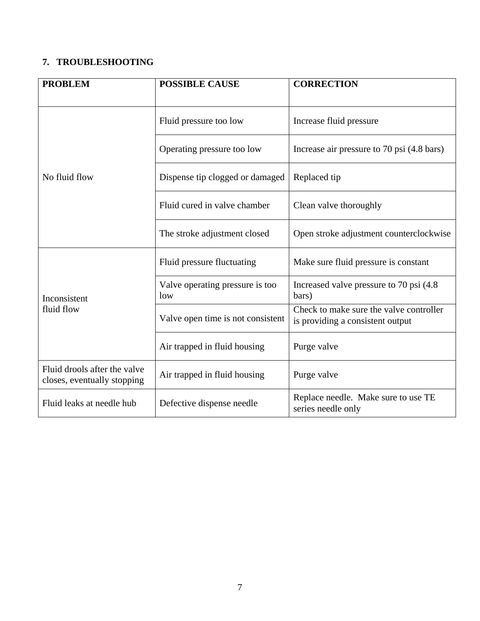## **7. TROUBLESHOOTING**

| <b>PROBLEM</b>                                              | <b>POSSIBLE CAUSE</b>                  | <b>CORRECTION</b>                                                           |
|-------------------------------------------------------------|----------------------------------------|-----------------------------------------------------------------------------|
|                                                             | Fluid pressure too low                 | Increase fluid pressure                                                     |
|                                                             | Operating pressure too low             | Increase air pressure to 70 psi (4.8 bars)                                  |
| No fluid flow                                               | Dispense tip clogged or damaged        | Replaced tip                                                                |
|                                                             | Fluid cured in valve chamber           | Clean valve thoroughly                                                      |
|                                                             | The stroke adjustment closed           | Open stroke adjustment counterclockwise                                     |
|                                                             | Fluid pressure fluctuating             | Make sure fluid pressure is constant                                        |
| Inconsistent                                                | Valve operating pressure is too<br>low | Increased valve pressure to 70 psi (4.8)<br>bars)                           |
| fluid flow                                                  | Valve open time is not consistent      | Check to make sure the valve controller<br>is providing a consistent output |
|                                                             | Air trapped in fluid housing           | Purge valve                                                                 |
| Fluid drools after the valve<br>closes, eventually stopping | Air trapped in fluid housing           | Purge valve                                                                 |
| Fluid leaks at needle hub                                   | Defective dispense needle              | Replace needle. Make sure to use TE<br>series needle only                   |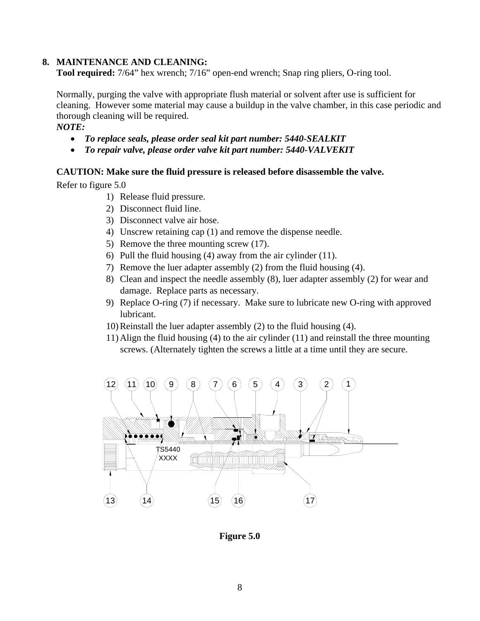#### **8. MAINTENANCE AND CLEANING:**

**Tool required:** 7/64" hex wrench; 7/16" open-end wrench; Snap ring pliers, O-ring tool.

Normally, purging the valve with appropriate flush material or solvent after use is sufficient for cleaning. However some material may cause a buildup in the valve chamber, in this case periodic and thorough cleaning will be required.

#### *NOTE:*

- *To replace seals, please order seal kit part number: 5440-SEALKIT*
- *To repair valve, please order valve kit part number: 5440-VALVEKIT*

#### **CAUTION: Make sure the fluid pressure is released before disassemble the valve.**

Refer to figure 5.0

- 1) Release fluid pressure.
- 2) Disconnect fluid line.
- 3) Disconnect valve air hose.
- 4) Unscrew retaining cap (1) and remove the dispense needle.
- 5) Remove the three mounting screw (17).
- 6) Pull the fluid housing (4) away from the air cylinder (11).
- 7) Remove the luer adapter assembly (2) from the fluid housing (4).
- 8) Clean and inspect the needle assembly (8), luer adapter assembly (2) for wear and damage. Replace parts as necessary.
- 9) Replace O-ring (7) if necessary. Make sure to lubricate new O-ring with approved lubricant.
- 10)Reinstall the luer adapter assembly (2) to the fluid housing (4).
- 11)Align the fluid housing (4) to the air cylinder (11) and reinstall the three mounting screws. (Alternately tighten the screws a little at a time until they are secure.



**Figure 5.0**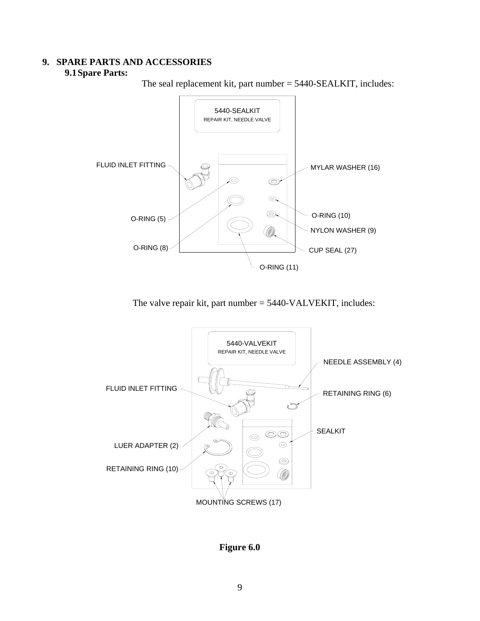#### **9. SPARE PARTS AND ACCESSORIES 9.1Spare Parts:**

The seal replacement kit, part number = 5440-SEALKIT, includes:



The valve repair kit, part number = 5440-VALVEKIT, includes:



**Figure 6.0**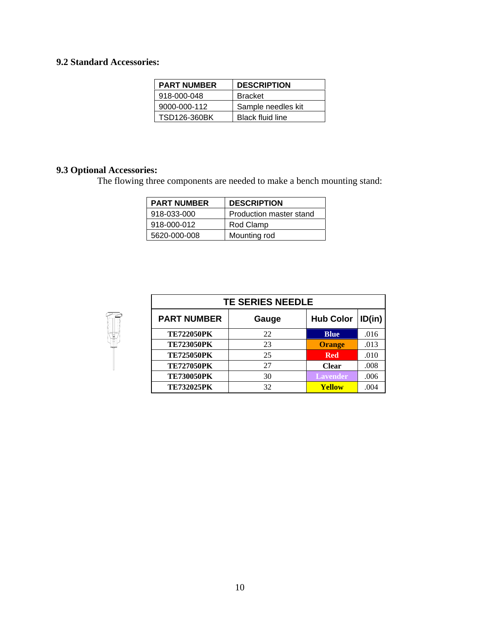### **9.2 Standard Accessories:**

| <b>PART NUMBER</b>  | <b>DESCRIPTION</b>      |
|---------------------|-------------------------|
| 918-000-048         | <b>Bracket</b>          |
| 9000-000-112        | Sample needles kit      |
| <b>TSD126-360BK</b> | <b>Black fluid line</b> |

## **9.3 Optional Accessories:**

The flowing three components are needed to make a bench mounting stand:

| <b>PART NUMBER</b> | <b>DESCRIPTION</b>      |
|--------------------|-------------------------|
| 918-033-000        | Production master stand |
| 918-000-012        | Rod Clamp               |
| 5620-000-008       | Mounting rod            |



| <b>TE SERIES NEEDLE</b> |       |                  |        |  |  |  |
|-------------------------|-------|------------------|--------|--|--|--|
| <b>PART NUMBER</b>      | Gauge | <b>Hub Color</b> | ID(in) |  |  |  |
| <b>TE722050PK</b>       | 22    | <b>Blue</b>      | .016   |  |  |  |
| <b>TE723050PK</b>       | 23    | <b>Orange</b>    | .013   |  |  |  |
| <b>TE725050PK</b>       | 25    | <b>Red</b>       | .010   |  |  |  |
| <b>TE727050PK</b>       | 27    | <b>Clear</b>     | .008   |  |  |  |
| <b>TE730050PK</b>       | 30    | <b>Lavender</b>  | .006   |  |  |  |
| <b>TE732025PK</b>       | 32    | Yellow           | .004   |  |  |  |